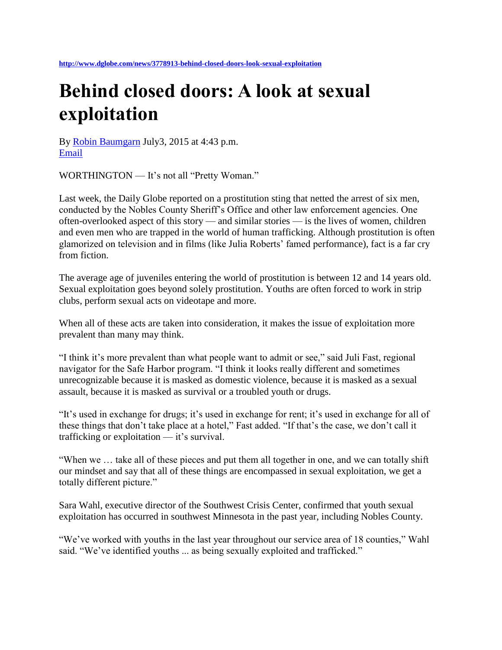## **Behind closed doors: A look at sexual exploitation**

By [Robin Baumgarn](http://www.dglobe.com/users/robin-baumgarn-0) July3, 2015 at 4:43 p.m. [Email](mailto:?subject=Behind%20closed%20doors:%20A%20look%20at%20sexual%20exploitation&body=Check%20out%20this%20article%20http://www.dglobe.com/news/3778913-behind-closed-doors-look-sexual-exploitation)

WORTHINGTON — It's not all "Pretty Woman."

Last week, the Daily Globe reported on a prostitution sting that netted the arrest of six men, conducted by the Nobles County Sheriff's Office and other law enforcement agencies. One often-overlooked aspect of this story — and similar stories — is the lives of women, children and even men who are trapped in the world of human trafficking. Although prostitution is often glamorized on television and in films (like Julia Roberts' famed performance), fact is a far cry from fiction.

The average age of juveniles entering the world of prostitution is between 12 and 14 years old. Sexual exploitation goes beyond solely prostitution. Youths are often forced to work in strip clubs, perform sexual acts on videotape and more.

When all of these acts are taken into consideration, it makes the issue of exploitation more prevalent than many may think.

"I think it's more prevalent than what people want to admit or see," said Juli Fast, regional navigator for the Safe Harbor program. "I think it looks really different and sometimes unrecognizable because it is masked as domestic violence, because it is masked as a sexual assault, because it is masked as survival or a troubled youth or drugs.

"It's used in exchange for drugs; it's used in exchange for rent; it's used in exchange for all of these things that don't take place at a hotel," Fast added. "If that's the case, we don't call it trafficking or exploitation — it's survival.

"When we … take all of these pieces and put them all together in one, and we can totally shift our mindset and say that all of these things are encompassed in sexual exploitation, we get a totally different picture."

Sara Wahl, executive director of the Southwest Crisis Center, confirmed that youth sexual exploitation has occurred in southwest Minnesota in the past year, including Nobles County.

"We've worked with youths in the last year throughout our service area of 18 counties," Wahl said. "We've identified youths ... as being sexually exploited and trafficked."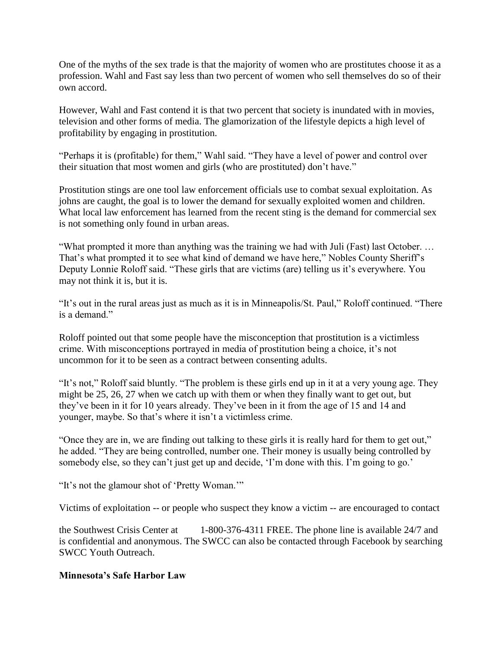One of the myths of the sex trade is that the majority of women who are prostitutes choose it as a profession. Wahl and Fast say less than two percent of women who sell themselves do so of their own accord.

However, Wahl and Fast contend it is that two percent that society is inundated with in movies, television and other forms of media. The glamorization of the lifestyle depicts a high level of profitability by engaging in prostitution.

"Perhaps it is (profitable) for them," Wahl said. "They have a level of power and control over their situation that most women and girls (who are prostituted) don't have."

Prostitution stings are one tool law enforcement officials use to combat sexual exploitation. As johns are caught, the goal is to lower the demand for sexually exploited women and children. What local law enforcement has learned from the recent sting is the demand for commercial sex is not something only found in urban areas.

"What prompted it more than anything was the training we had with Juli (Fast) last October. … That's what prompted it to see what kind of demand we have here," Nobles County Sheriff's Deputy Lonnie Roloff said. "These girls that are victims (are) telling us it's everywhere. You may not think it is, but it is.

"It's out in the rural areas just as much as it is in Minneapolis/St. Paul," Roloff continued. "There is a demand."

Roloff pointed out that some people have the misconception that prostitution is a victimless crime. With misconceptions portrayed in media of prostitution being a choice, it's not uncommon for it to be seen as a contract between consenting adults.

"It's not," Roloff said bluntly. "The problem is these girls end up in it at a very young age. They might be 25, 26, 27 when we catch up with them or when they finally want to get out, but they've been in it for 10 years already. They've been in it from the age of 15 and 14 and younger, maybe. So that's where it isn't a victimless crime.

"Once they are in, we are finding out talking to these girls it is really hard for them to get out," he added. "They are being controlled, number one. Their money is usually being controlled by somebody else, so they can't just get up and decide, 'I'm done with this. I'm going to go.'

"It's not the glamour shot of 'Pretty Woman.'"

Victims of exploitation -- or people who suspect they know a victim -- are encouraged to contact

the Southwest Crisis Center at 1-800-376-4311 FREE. The phone line is available 24/7 and is confidential and anonymous. The SWCC can also be contacted through Facebook by searching SWCC Youth Outreach.

## **Minnesota's Safe Harbor Law**